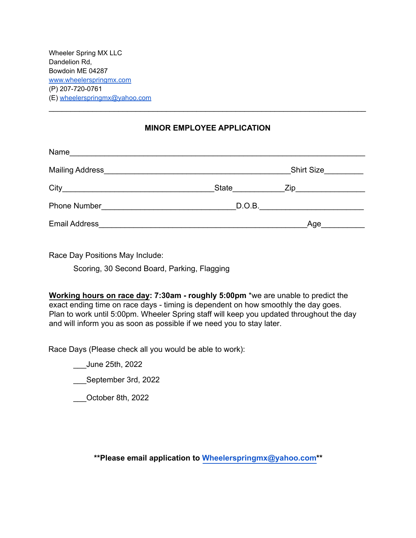Wheeler Spring MX LLC Dandelion Rd, Bowdoin ME 04287 [www.wheelerspringmx.com](http://www.wheelerspringmx.com) (P) 207-720-0761 (E) [wheelerspringmx@yahoo.com](mailto:wheelerspringmx@yahoo.com)

#### **MINOR EMPLOYEE APPLICATION**

\_\_\_\_\_\_\_\_\_\_\_\_\_\_\_\_\_\_\_\_\_\_\_\_\_\_\_\_\_\_\_\_\_\_\_\_\_\_\_\_\_\_\_\_\_\_\_\_\_\_\_\_\_\_\_\_\_\_\_\_\_\_\_\_\_\_\_\_\_\_\_\_\_

| Name<br><u> 1980 - Johann Barbara, margaret eta idazlear</u> |       |                   |  |
|--------------------------------------------------------------|-------|-------------------|--|
|                                                              |       | <b>Shirt Size</b> |  |
|                                                              | State |                   |  |
| Phone Number                                                 |       | D.O.B.            |  |
| <b>Email Address</b>                                         |       | Age               |  |

Race Day Positions May Include:

Scoring, 30 Second Board, Parking, Flagging

**Working hours on race day: 7:30am - roughly 5:00pm** \*we are unable to predict the exact ending time on race days - timing is dependent on how smoothly the day goes. Plan to work until 5:00pm. Wheeler Spring staff will keep you updated throughout the day and will inform you as soon as possible if we need you to stay later.

Race Days (Please check all you would be able to work):

\_\_\_June 25th, 2022

\_\_\_September 3rd, 2022

\_\_\_October 8th, 2022

**\*\*Please email application to [Wheelerspringmx@yahoo.com\\*](mailto:Wheelerspringmx@yahoo.com)\***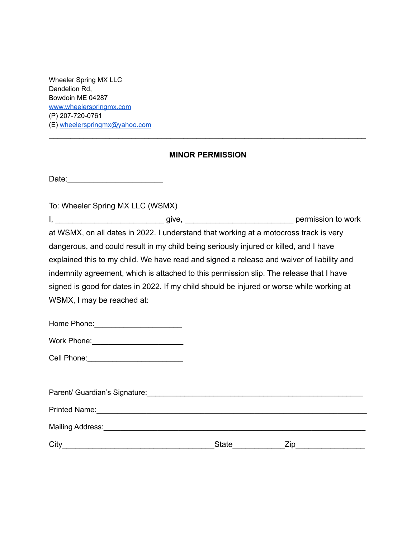Wheeler Spring MX LLC Dandelion Rd, Bowdoin ME 04287 [www.wheelerspringmx.com](http://www.wheelerspringmx.com) (P) 207-720-0761 (E) [wheelerspringmx@yahoo.com](mailto:wheelerspringmx@yahoo.com)

### **MINOR PERMISSION**

\_\_\_\_\_\_\_\_\_\_\_\_\_\_\_\_\_\_\_\_\_\_\_\_\_\_\_\_\_\_\_\_\_\_\_\_\_\_\_\_\_\_\_\_\_\_\_\_\_\_\_\_\_\_\_\_\_\_\_\_\_\_\_\_\_\_\_\_\_\_\_\_\_

Date:\_\_\_\_\_\_\_\_\_\_\_\_\_\_\_\_\_\_\_\_\_\_

To: Wheeler Spring MX LLC (WSMX)

I, \_\_\_\_\_\_\_\_\_\_\_\_\_\_\_\_\_\_\_\_\_\_\_\_\_ give, \_\_\_\_\_\_\_\_\_\_\_\_\_\_\_\_\_\_\_\_\_\_\_\_\_ permission to work at WSMX, on all dates in 2022. I understand that working at a motocross track is very dangerous, and could result in my child being seriously injured or killed, and I have explained this to my child. We have read and signed a release and waiver of liability and indemnity agreement, which is attached to this permission slip. The release that I have signed is good for dates in 2022. If my child should be injured or worse while working at WSMX, I may be reached at:

| Home Phone: |
|-------------|
|-------------|

| Work Phone: |
|-------------|
|-------------|

| Parent/ Guardian's Signature: |              |     |
|-------------------------------|--------------|-----|
| <b>Printed Name:</b>          |              |     |
| Mailing Address:              |              |     |
| City                          | <b>State</b> | ∠ıp |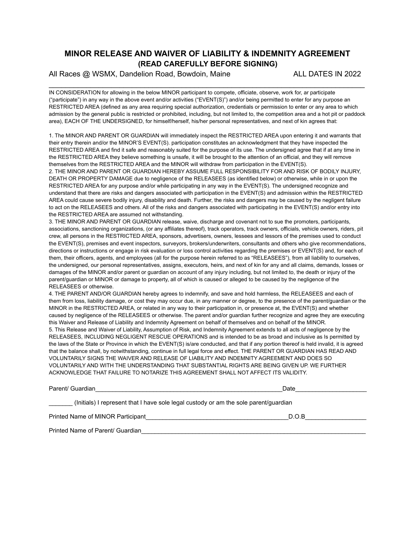### **MINOR RELEASE AND WAIVER OF LIABILITY & INDEMNITY AGREEMENT (READ CAREFULLY BEFORE SIGNING)**

All Races @ WSMX, Dandelion Road, Bowdoin, Maine ALL DATES IN 2022

IN CONSIDERATION for allowing in the below MINOR participant to compete, officiate, observe, work for, ar participate ("participate") in any way in the above event and/or activities ("EVENT(S)") and/or being permitted to enter for any purpose an RESTRICTED AREA (defined as any area requiring special authorization, credentials or permission to enter or any area to which admission by the general public is restricted or prohibited, including, but not limited to, the competition area and a hot pit or paddock area), EACH OF THE UNDERSIGNED, for himself/herself, his/her personal representatives, and next of kin agrees that:

\_\_\_\_\_\_\_\_\_\_\_\_\_\_\_\_\_\_\_\_\_\_\_\_\_\_\_\_\_\_\_\_\_\_\_\_\_\_\_\_\_\_\_\_\_\_\_\_\_\_\_\_\_\_\_\_\_\_\_\_\_\_\_\_\_\_\_\_\_\_\_\_\_\_\_\_

1. The MINOR AND PARENT OR GUARDIAN will immediately inspect the RESTRICTED AREA upon entering it and warrants that their entry therein and/or the MINOR'S EVENT(S). participation constitutes an acknowledgment that they have inspected the RESTRICTED AREA and find it safe and reasonably suited for the purpose of its use. The undersigned agree that if at any time in the RESTRICTED AREA they believe something is unsafe, it will be brought to the attention of an official, and they will remove themselves from the RESTRICTED AREA and the MINOR will withdraw from participation in the EVENT(S).

2. THE MINOR AND PARENT OR GUARDIAN HEREBY ASSUME FULL RESPONSIBILITY FOR AND RISK OF BODILY INJURY, DEATH OR PROPERTY DAMAGE due to negligence of the RELEASEES (as identified below) or otherwise, while in or upon the RESTRICTED AREA for any purpose and/or while participating in any way in the EVENT(S). The undersigned recognize and understand that there are risks and dangers associated with participation in the EVENT(S) and admission within the RESTRICTED AREA could cause severe bodily injury, disability and death. Further, the risks and dangers may be caused by the negligent failure to act on the RELEASEES and others. All of the risks and dangers associated with participating in the EVENT(S) and/or entry into the RESTRICTED AREA are assumed not withstanding.

3. THE MINOR AND PARENT OR GUARDIAN release, waive, discharge and covenant not to sue the promoters, participants, associations, sanctioning organizations, (or any affiliates thereof), track operators, track owners, officials, vehicle owners, riders, pit crew, all persons in the RESTRICTED AREA, sponsors, advertisers, owners, lessees and lessors of the premises used to conduct the EVENT(S), premises and event inspectors, surveyors, brokers/underwriters, consultants and others who give recommendations, directions or instructions or engage in risk evaluation or loss control activities regarding the premises or EVENT(S) and, for each of them, their officers, agents, and employees (all for the purpose herein referred to as "RELEASEES"), from all liability to ourselves, the undersigned, our personal representatives, assigns, executors, heirs, and next of kin for any and all claims, demands, losses or damages of the MINOR and/or parent or guardian on account of any injury including, but not limited to, the death or injury of the parent/guardian or MINOR or damage to property, all of which is caused or alleged to be caused by the negligence of the RELEASEES or otherwise.

4. THE PARENT AND/OR GUARDIAN hereby agrees to indemnify, and save and hold harmless, the RELEASEES and each of them from loss, liability damage, or cost they may occur due, in any manner or degree, to the presence of the parent/guardian or the MINOR in the RESTRICTED AREA, or related in any way to their participation in, or presence at, the EVENT(S) and whether caused by negligence of the RELEASEES or otherwise. The parent and/or guardian further recognize and agree they are executing this Waiver and Release of Liability and Indemnity Agreement on behalf of themselves and on behalf of the MINOR. 5. This Release and Waiver of Liability, Assumption of Risk, and Indemnity Agreement extends to all acts of negligence by the RELEASEES, INCLUDING NEGLIGENT RESCUE OPERATIONS and is intended to be as broad and inclusive as Is permitted by the laws of the State or Province in which the EVENT(S) is/are conducted, and that if any portion thereof is held invalid, it is agreed that the balance shall, by notwithstanding, continue in full legal force and effect. THE PARENT OR GUARDIAN HAS READ AND VOLUNTARILY SIGNS THE WAIVER AND RELEASE OF LIABILITY AND INDEMNITY AGREEMENT AND DOES SO VOLUNTARILY AND WITH THE UNDERSTANDING THAT SUBSTANTIAL RIGHTS ARE BEING GIVEN UP. WE FURTHER ACKNOWLEDGE THAT FAILURE TO NOTARIZE THIS AGREEMENT SHALL NOT AFFECT ITS VALIDITY.

| Parent/ Guardian                                                                     | Date  |  |  |  |
|--------------------------------------------------------------------------------------|-------|--|--|--|
| (lnitials) I represent that I have sole legal custody or am the sole parent/guardian |       |  |  |  |
| Printed Name of MINOR Participant                                                    | D.O.B |  |  |  |
| Printed Name of Parent/ Guardian                                                     |       |  |  |  |